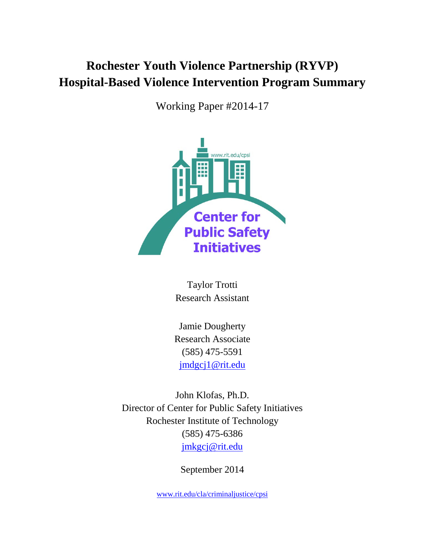# **Rochester Youth Violence Partnership (RYVP) Hospital-Based Violence Intervention Program Summary**

Working Paper #2014-17



Taylor Trotti Research Assistant

Jamie Dougherty Research Associate (585) 475-5591 [jmdgcj1@rit.edu](mailto:jmdgcj1@rit.edu)

John Klofas, Ph.D. Director of Center for Public Safety Initiatives Rochester Institute of Technology (585) 475-6386 [jmkgcj@rit.edu](mailto:jmkgcj@rit.edu)

September 2014

[www.rit.edu/cla/criminaljustice/cpsi](http://www.rit.edu/cla/criminaljustice/cpsi)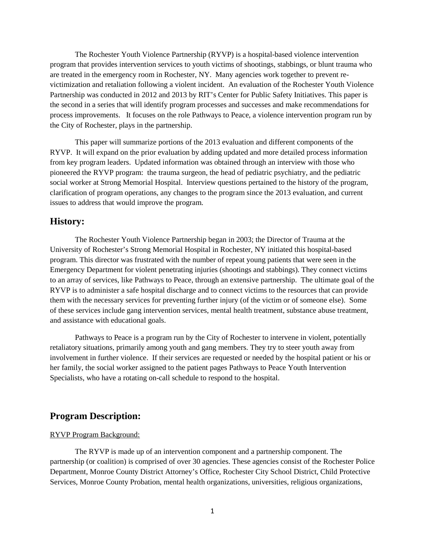The Rochester Youth Violence Partnership (RYVP) is a hospital-based violence intervention program that provides intervention services to youth victims of shootings, stabbings, or blunt trauma who are treated in the emergency room in Rochester, NY. Many agencies work together to prevent revictimization and retaliation following a violent incident. An evaluation of the Rochester Youth Violence Partnership was conducted in 2012 and 2013 by RIT's Center for Public Safety Initiatives. This paper is the second in a series that will identify program processes and successes and make recommendations for process improvements. It focuses on the role Pathways to Peace, a violence intervention program run by the City of Rochester, plays in the partnership.

This paper will summarize portions of the 2013 evaluation and different components of the RYVP. It will expand on the prior evaluation by adding updated and more detailed process information from key program leaders. Updated information was obtained through an interview with those who pioneered the RYVP program: the trauma surgeon, the head of pediatric psychiatry, and the pediatric social worker at Strong Memorial Hospital. Interview questions pertained to the history of the program, clarification of program operations, any changes to the program since the 2013 evaluation, and current issues to address that would improve the program.

## **History:**

The Rochester Youth Violence Partnership began in 2003; the Director of Trauma at the University of Rochester's Strong Memorial Hospital in Rochester, NY initiated this hospital-based program. This director was frustrated with the number of repeat young patients that were seen in the Emergency Department for violent penetrating injuries (shootings and stabbings). They connect victims to an array of services, like Pathways to Peace, through an extensive partnership. The ultimate goal of the RYVP is to administer a safe hospital discharge and to connect victims to the resources that can provide them with the necessary services for preventing further injury (of the victim or of someone else). Some of these services include gang intervention services, mental health treatment, substance abuse treatment, and assistance with educational goals.

Pathways to Peace is a program run by the City of Rochester to intervene in violent, potentially retaliatory situations, primarily among youth and gang members. They try to steer youth away from involvement in further violence. If their services are requested or needed by the hospital patient or his or her family, the social worker assigned to the patient pages Pathways to Peace Youth Intervention Specialists, who have a rotating on-call schedule to respond to the hospital.

## **Program Description:**

#### RYVP Program Background:

The RYVP is made up of an intervention component and a partnership component. The partnership (or coalition) is comprised of over 30 agencies. These agencies consist of the Rochester Police Department, Monroe County District Attorney's Office, Rochester City School District, Child Protective Services, Monroe County Probation, mental health organizations, universities, religious organizations,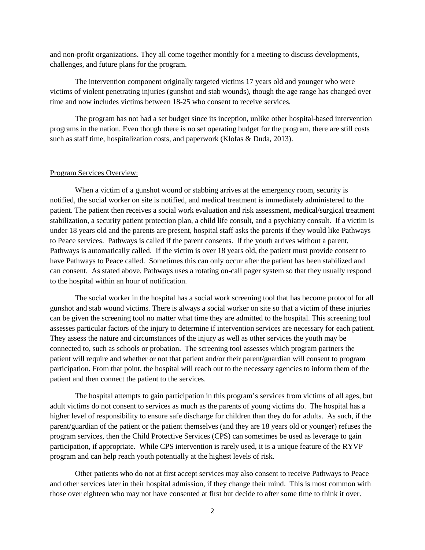and non-profit organizations. They all come together monthly for a meeting to discuss developments, challenges, and future plans for the program.

The intervention component originally targeted victims 17 years old and younger who were victims of violent penetrating injuries (gunshot and stab wounds), though the age range has changed over time and now includes victims between 18-25 who consent to receive services.

The program has not had a set budget since its inception, unlike other hospital-based intervention programs in the nation. Even though there is no set operating budget for the program, there are still costs such as staff time, hospitalization costs, and paperwork (Klofas & Duda, 2013).

#### Program Services Overview:

When a victim of a gunshot wound or stabbing arrives at the emergency room, security is notified, the social worker on site is notified, and medical treatment is immediately administered to the patient. The patient then receives a social work evaluation and risk assessment, medical/surgical treatment stabilization, a security patient protection plan, a child life consult, and a psychiatry consult. If a victim is under 18 years old and the parents are present, hospital staff asks the parents if they would like Pathways to Peace services. Pathways is called if the parent consents. If the youth arrives without a parent, Pathways is automatically called. If the victim is over 18 years old, the patient must provide consent to have Pathways to Peace called. Sometimes this can only occur after the patient has been stabilized and can consent. As stated above, Pathways uses a rotating on-call pager system so that they usually respond to the hospital within an hour of notification.

The social worker in the hospital has a social work screening tool that has become protocol for all gunshot and stab wound victims. There is always a social worker on site so that a victim of these injuries can be given the screening tool no matter what time they are admitted to the hospital. This screening tool assesses particular factors of the injury to determine if intervention services are necessary for each patient. They assess the nature and circumstances of the injury as well as other services the youth may be connected to, such as schools or probation. The screening tool assesses which program partners the patient will require and whether or not that patient and/or their parent/guardian will consent to program participation. From that point, the hospital will reach out to the necessary agencies to inform them of the patient and then connect the patient to the services.

The hospital attempts to gain participation in this program's services from victims of all ages, but adult victims do not consent to services as much as the parents of young victims do. The hospital has a higher level of responsibility to ensure safe discharge for children than they do for adults. As such, if the parent/guardian of the patient or the patient themselves (and they are 18 years old or younger) refuses the program services, then the Child Protective Services (CPS) can sometimes be used as leverage to gain participation, if appropriate. While CPS intervention is rarely used, it is a unique feature of the RYVP program and can help reach youth potentially at the highest levels of risk.

Other patients who do not at first accept services may also consent to receive Pathways to Peace and other services later in their hospital admission, if they change their mind. This is most common with those over eighteen who may not have consented at first but decide to after some time to think it over.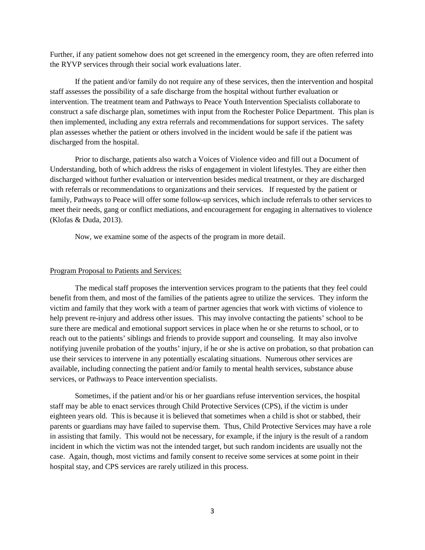Further, if any patient somehow does not get screened in the emergency room, they are often referred into the RYVP services through their social work evaluations later.

If the patient and/or family do not require any of these services, then the intervention and hospital staff assesses the possibility of a safe discharge from the hospital without further evaluation or intervention. The treatment team and Pathways to Peace Youth Intervention Specialists collaborate to construct a safe discharge plan, sometimes with input from the Rochester Police Department. This plan is then implemented, including any extra referrals and recommendations for support services. The safety plan assesses whether the patient or others involved in the incident would be safe if the patient was discharged from the hospital.

Prior to discharge, patients also watch a Voices of Violence video and fill out a Document of Understanding, both of which address the risks of engagement in violent lifestyles. They are either then discharged without further evaluation or intervention besides medical treatment, or they are discharged with referrals or recommendations to organizations and their services. If requested by the patient or family, Pathways to Peace will offer some follow-up services, which include referrals to other services to meet their needs, gang or conflict mediations, and encouragement for engaging in alternatives to violence (Klofas & Duda, 2013).

Now, we examine some of the aspects of the program in more detail.

#### Program Proposal to Patients and Services:

The medical staff proposes the intervention services program to the patients that they feel could benefit from them, and most of the families of the patients agree to utilize the services. They inform the victim and family that they work with a team of partner agencies that work with victims of violence to help prevent re-injury and address other issues. This may involve contacting the patients' school to be sure there are medical and emotional support services in place when he or she returns to school, or to reach out to the patients' siblings and friends to provide support and counseling. It may also involve notifying juvenile probation of the youths' injury, if he or she is active on probation, so that probation can use their services to intervene in any potentially escalating situations. Numerous other services are available, including connecting the patient and/or family to mental health services, substance abuse services, or Pathways to Peace intervention specialists.

Sometimes, if the patient and/or his or her guardians refuse intervention services, the hospital staff may be able to enact services through Child Protective Services (CPS), if the victim is under eighteen years old. This is because it is believed that sometimes when a child is shot or stabbed, their parents or guardians may have failed to supervise them. Thus, Child Protective Services may have a role in assisting that family. This would not be necessary, for example, if the injury is the result of a random incident in which the victim was not the intended target, but such random incidents are usually not the case. Again, though, most victims and family consent to receive some services at some point in their hospital stay, and CPS services are rarely utilized in this process.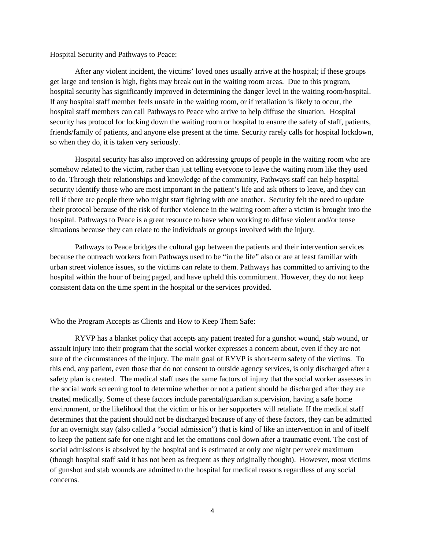#### Hospital Security and Pathways to Peace:

After any violent incident, the victims' loved ones usually arrive at the hospital; if these groups get large and tension is high, fights may break out in the waiting room areas. Due to this program, hospital security has significantly improved in determining the danger level in the waiting room/hospital. If any hospital staff member feels unsafe in the waiting room, or if retaliation is likely to occur, the hospital staff members can call Pathways to Peace who arrive to help diffuse the situation. Hospital security has protocol for locking down the waiting room or hospital to ensure the safety of staff, patients, friends/family of patients, and anyone else present at the time. Security rarely calls for hospital lockdown, so when they do, it is taken very seriously.

Hospital security has also improved on addressing groups of people in the waiting room who are somehow related to the victim, rather than just telling everyone to leave the waiting room like they used to do. Through their relationships and knowledge of the community, Pathways staff can help hospital security identify those who are most important in the patient's life and ask others to leave, and they can tell if there are people there who might start fighting with one another. Security felt the need to update their protocol because of the risk of further violence in the waiting room after a victim is brought into the hospital. Pathways to Peace is a great resource to have when working to diffuse violent and/or tense situations because they can relate to the individuals or groups involved with the injury.

Pathways to Peace bridges the cultural gap between the patients and their intervention services because the outreach workers from Pathways used to be "in the life" also or are at least familiar with urban street violence issues, so the victims can relate to them. Pathways has committed to arriving to the hospital within the hour of being paged, and have upheld this commitment. However, they do not keep consistent data on the time spent in the hospital or the services provided.

#### Who the Program Accepts as Clients and How to Keep Them Safe:

RYVP has a blanket policy that accepts any patient treated for a gunshot wound, stab wound, or assault injury into their program that the social worker expresses a concern about, even if they are not sure of the circumstances of the injury. The main goal of RYVP is short-term safety of the victims. To this end, any patient, even those that do not consent to outside agency services, is only discharged after a safety plan is created. The medical staff uses the same factors of injury that the social worker assesses in the social work screening tool to determine whether or not a patient should be discharged after they are treated medically. Some of these factors include parental/guardian supervision, having a safe home environment, or the likelihood that the victim or his or her supporters will retaliate. If the medical staff determines that the patient should not be discharged because of any of these factors, they can be admitted for an overnight stay (also called a "social admission") that is kind of like an intervention in and of itself to keep the patient safe for one night and let the emotions cool down after a traumatic event. The cost of social admissions is absolved by the hospital and is estimated at only one night per week maximum (though hospital staff said it has not been as frequent as they originally thought). However, most victims of gunshot and stab wounds are admitted to the hospital for medical reasons regardless of any social concerns.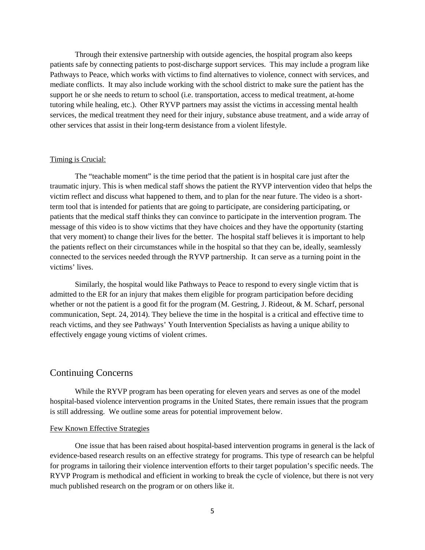Through their extensive partnership with outside agencies, the hospital program also keeps patients safe by connecting patients to post-discharge support services. This may include a program like Pathways to Peace, which works with victims to find alternatives to violence, connect with services, and mediate conflicts. It may also include working with the school district to make sure the patient has the support he or she needs to return to school (i.e. transportation, access to medical treatment, at-home tutoring while healing, etc.). Other RYVP partners may assist the victims in accessing mental health services, the medical treatment they need for their injury, substance abuse treatment, and a wide array of other services that assist in their long-term desistance from a violent lifestyle.

#### Timing is Crucial:

The "teachable moment" is the time period that the patient is in hospital care just after the traumatic injury. This is when medical staff shows the patient the RYVP intervention video that helps the victim reflect and discuss what happened to them, and to plan for the near future. The video is a shortterm tool that is intended for patients that are going to participate, are considering participating, or patients that the medical staff thinks they can convince to participate in the intervention program. The message of this video is to show victims that they have choices and they have the opportunity (starting that very moment) to change their lives for the better. The hospital staff believes it is important to help the patients reflect on their circumstances while in the hospital so that they can be, ideally, seamlessly connected to the services needed through the RYVP partnership. It can serve as a turning point in the victims' lives.

Similarly, the hospital would like Pathways to Peace to respond to every single victim that is admitted to the ER for an injury that makes them eligible for program participation before deciding whether or not the patient is a good fit for the program (M. Gestring, J. Rideout, & M. Scharf, personal communication, Sept. 24, 2014). They believe the time in the hospital is a critical and effective time to reach victims, and they see Pathways' Youth Intervention Specialists as having a unique ability to effectively engage young victims of violent crimes.

### Continuing Concerns

While the RYVP program has been operating for eleven years and serves as one of the model hospital-based violence intervention programs in the United States, there remain issues that the program is still addressing. We outline some areas for potential improvement below.

#### Few Known Effective Strategies

One issue that has been raised about hospital-based intervention programs in general is the lack of evidence-based research results on an effective strategy for programs. This type of research can be helpful for programs in tailoring their violence intervention efforts to their target population's specific needs. The RYVP Program is methodical and efficient in working to break the cycle of violence, but there is not very much published research on the program or on others like it.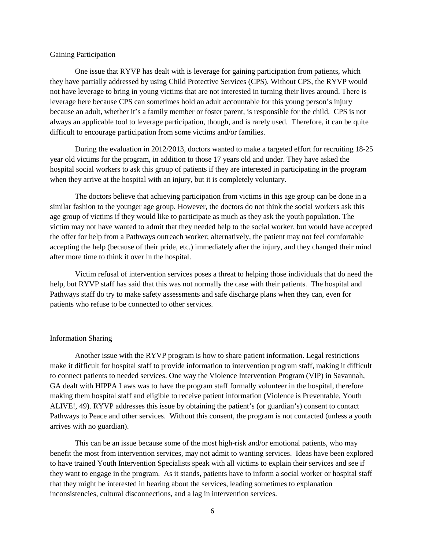#### Gaining Participation

One issue that RYVP has dealt with is leverage for gaining participation from patients, which they have partially addressed by using Child Protective Services (CPS). Without CPS, the RYVP would not have leverage to bring in young victims that are not interested in turning their lives around. There is leverage here because CPS can sometimes hold an adult accountable for this young person's injury because an adult, whether it's a family member or foster parent, is responsible for the child. CPS is not always an applicable tool to leverage participation, though, and is rarely used. Therefore, it can be quite difficult to encourage participation from some victims and/or families.

During the evaluation in 2012/2013, doctors wanted to make a targeted effort for recruiting 18-25 year old victims for the program, in addition to those 17 years old and under. They have asked the hospital social workers to ask this group of patients if they are interested in participating in the program when they arrive at the hospital with an injury, but it is completely voluntary.

The doctors believe that achieving participation from victims in this age group can be done in a similar fashion to the younger age group. However, the doctors do not think the social workers ask this age group of victims if they would like to participate as much as they ask the youth population. The victim may not have wanted to admit that they needed help to the social worker, but would have accepted the offer for help from a Pathways outreach worker; alternatively, the patient may not feel comfortable accepting the help (because of their pride, etc.) immediately after the injury, and they changed their mind after more time to think it over in the hospital.

Victim refusal of intervention services poses a threat to helping those individuals that do need the help, but RYVP staff has said that this was not normally the case with their patients. The hospital and Pathways staff do try to make safety assessments and safe discharge plans when they can, even for patients who refuse to be connected to other services.

#### Information Sharing

Another issue with the RYVP program is how to share patient information. Legal restrictions make it difficult for hospital staff to provide information to intervention program staff, making it difficult to connect patients to needed services. One way the Violence Intervention Program (VIP) in Savannah, GA dealt with HIPPA Laws was to have the program staff formally volunteer in the hospital, therefore making them hospital staff and eligible to receive patient information (Violence is Preventable, Youth ALIVE!, 49). RYVP addresses this issue by obtaining the patient's (or guardian's) consent to contact Pathways to Peace and other services. Without this consent, the program is not contacted (unless a youth arrives with no guardian).

This can be an issue because some of the most high-risk and/or emotional patients, who may benefit the most from intervention services, may not admit to wanting services. Ideas have been explored to have trained Youth Intervention Specialists speak with all victims to explain their services and see if they want to engage in the program. As it stands, patients have to inform a social worker or hospital staff that they might be interested in hearing about the services, leading sometimes to explanation inconsistencies, cultural disconnections, and a lag in intervention services.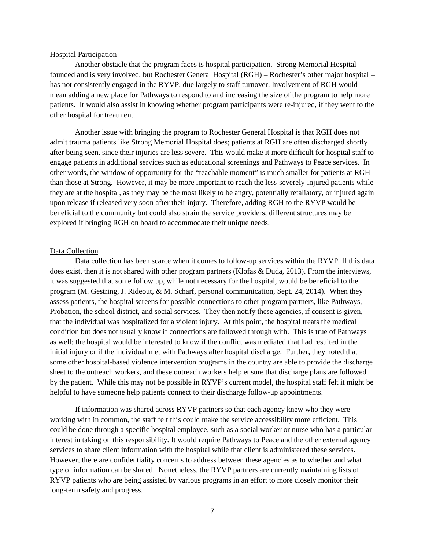#### Hospital Participation

Another obstacle that the program faces is hospital participation. Strong Memorial Hospital founded and is very involved, but Rochester General Hospital (RGH) – Rochester's other major hospital – has not consistently engaged in the RYVP, due largely to staff turnover. Involvement of RGH would mean adding a new place for Pathways to respond to and increasing the size of the program to help more patients. It would also assist in knowing whether program participants were re-injured, if they went to the other hospital for treatment.

Another issue with bringing the program to Rochester General Hospital is that RGH does not admit trauma patients like Strong Memorial Hospital does; patients at RGH are often discharged shortly after being seen, since their injuries are less severe. This would make it more difficult for hospital staff to engage patients in additional services such as educational screenings and Pathways to Peace services. In other words, the window of opportunity for the "teachable moment" is much smaller for patients at RGH than those at Strong. However, it may be more important to reach the less-severely-injured patients while they are at the hospital, as they may be the most likely to be angry, potentially retaliatory, or injured again upon release if released very soon after their injury. Therefore, adding RGH to the RYVP would be beneficial to the community but could also strain the service providers; different structures may be explored if bringing RGH on board to accommodate their unique needs.

#### Data Collection

Data collection has been scarce when it comes to follow-up services within the RYVP. If this data does exist, then it is not shared with other program partners (Klofas & Duda, 2013). From the interviews, it was suggested that some follow up, while not necessary for the hospital, would be beneficial to the program (M. Gestring, J. Rideout, & M. Scharf, personal communication, Sept. 24, 2014). When they assess patients, the hospital screens for possible connections to other program partners, like Pathways, Probation, the school district, and social services. They then notify these agencies, if consent is given, that the individual was hospitalized for a violent injury. At this point, the hospital treats the medical condition but does not usually know if connections are followed through with. This is true of Pathways as well; the hospital would be interested to know if the conflict was mediated that had resulted in the initial injury or if the individual met with Pathways after hospital discharge. Further, they noted that some other hospital-based violence intervention programs in the country are able to provide the discharge sheet to the outreach workers, and these outreach workers help ensure that discharge plans are followed by the patient. While this may not be possible in RYVP's current model, the hospital staff felt it might be helpful to have someone help patients connect to their discharge follow-up appointments.

If information was shared across RYVP partners so that each agency knew who they were working with in common, the staff felt this could make the service accessibility more efficient. This could be done through a specific hospital employee, such as a social worker or nurse who has a particular interest in taking on this responsibility. It would require Pathways to Peace and the other external agency services to share client information with the hospital while that client is administered these services. However, there are confidentiality concerns to address between these agencies as to whether and what type of information can be shared. Nonetheless, the RYVP partners are currently maintaining lists of RYVP patients who are being assisted by various programs in an effort to more closely monitor their long-term safety and progress.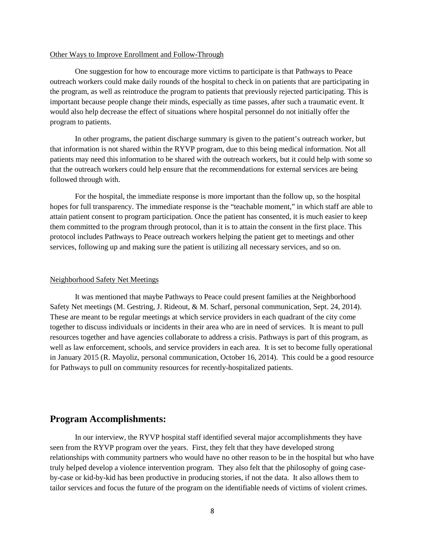#### Other Ways to Improve Enrollment and Follow-Through

One suggestion for how to encourage more victims to participate is that Pathways to Peace outreach workers could make daily rounds of the hospital to check in on patients that are participating in the program, as well as reintroduce the program to patients that previously rejected participating. This is important because people change their minds, especially as time passes, after such a traumatic event. It would also help decrease the effect of situations where hospital personnel do not initially offer the program to patients.

In other programs, the patient discharge summary is given to the patient's outreach worker, but that information is not shared within the RYVP program, due to this being medical information. Not all patients may need this information to be shared with the outreach workers, but it could help with some so that the outreach workers could help ensure that the recommendations for external services are being followed through with.

For the hospital, the immediate response is more important than the follow up, so the hospital hopes for full transparency. The immediate response is the "teachable moment," in which staff are able to attain patient consent to program participation. Once the patient has consented, it is much easier to keep them committed to the program through protocol, than it is to attain the consent in the first place. This protocol includes Pathways to Peace outreach workers helping the patient get to meetings and other services, following up and making sure the patient is utilizing all necessary services, and so on.

#### Neighborhood Safety Net Meetings

It was mentioned that maybe Pathways to Peace could present families at the Neighborhood Safety Net meetings (M. Gestring, J. Rideout, & M. Scharf, personal communication, Sept. 24, 2014). These are meant to be regular meetings at which service providers in each quadrant of the city come together to discuss individuals or incidents in their area who are in need of services. It is meant to pull resources together and have agencies collaborate to address a crisis. Pathways is part of this program, as well as law enforcement, schools, and service providers in each area. It is set to become fully operational in January 2015 (R. Mayoliz, personal communication, October 16, 2014). This could be a good resource for Pathways to pull on community resources for recently-hospitalized patients.

## **Program Accomplishments:**

In our interview, the RYVP hospital staff identified several major accomplishments they have seen from the RYVP program over the years. First, they felt that they have developed strong relationships with community partners who would have no other reason to be in the hospital but who have truly helped develop a violence intervention program. They also felt that the philosophy of going caseby-case or kid-by-kid has been productive in producing stories, if not the data. It also allows them to tailor services and focus the future of the program on the identifiable needs of victims of violent crimes.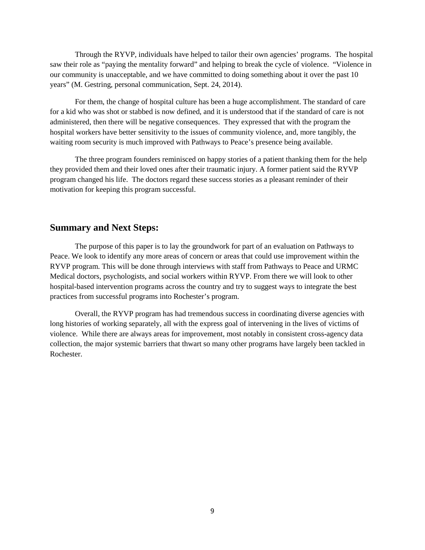Through the RYVP, individuals have helped to tailor their own agencies' programs. The hospital saw their role as "paying the mentality forward" and helping to break the cycle of violence. "Violence in our community is unacceptable, and we have committed to doing something about it over the past 10 years" (M. Gestring, personal communication, Sept. 24, 2014).

For them, the change of hospital culture has been a huge accomplishment. The standard of care for a kid who was shot or stabbed is now defined, and it is understood that if the standard of care is not administered, then there will be negative consequences. They expressed that with the program the hospital workers have better sensitivity to the issues of community violence, and, more tangibly, the waiting room security is much improved with Pathways to Peace's presence being available.

The three program founders reminisced on happy stories of a patient thanking them for the help they provided them and their loved ones after their traumatic injury. A former patient said the RYVP program changed his life. The doctors regard these success stories as a pleasant reminder of their motivation for keeping this program successful.

## **Summary and Next Steps:**

The purpose of this paper is to lay the groundwork for part of an evaluation on Pathways to Peace. We look to identify any more areas of concern or areas that could use improvement within the RYVP program. This will be done through interviews with staff from Pathways to Peace and URMC Medical doctors, psychologists, and social workers within RYVP. From there we will look to other hospital-based intervention programs across the country and try to suggest ways to integrate the best practices from successful programs into Rochester's program.

Overall, the RYVP program has had tremendous success in coordinating diverse agencies with long histories of working separately, all with the express goal of intervening in the lives of victims of violence. While there are always areas for improvement, most notably in consistent cross-agency data collection, the major systemic barriers that thwart so many other programs have largely been tackled in Rochester.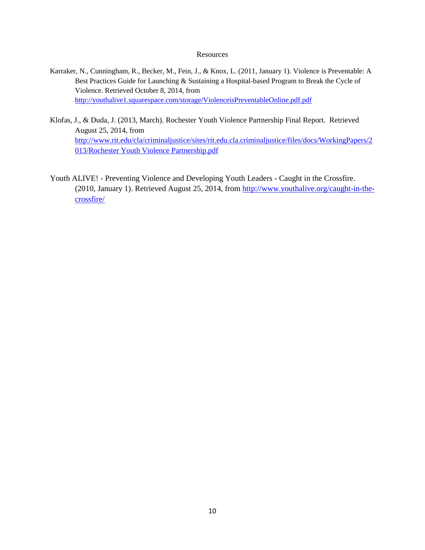#### **Resources**

- Karraker, N., Cunningham, R., Becker, M., Fein, J., & Knox, L. (2011, January 1). Violence is Preventable: A Best Practices Guide for Launching & Sustaining a Hospital-based Program to Break the Cycle of Violence. Retrieved October 8, 2014, from <http://youthalive1.squarespace.com/storage/ViolenceisPreventableOnline.pdf.pdf>
- Klofas, J., & Duda, J. (2013, March). Rochester Youth Violence Partnership Final Report. Retrieved August 25, 2014, from [http://www.rit.edu/cla/criminaljustice/sites/rit.edu.cla.criminaljustice/files/docs/WorkingPapers/2](http://www.rit.edu/cla/criminaljustice/sites/rit.edu.cla.criminaljustice/files/docs/WorkingPapers/2013/Rochester%20Youth%20Violence%20Partnership.pdf) [013/Rochester Youth Violence Partnership.pdf](http://www.rit.edu/cla/criminaljustice/sites/rit.edu.cla.criminaljustice/files/docs/WorkingPapers/2013/Rochester%20Youth%20Violence%20Partnership.pdf)
- Youth ALIVE! Preventing Violence and Developing Youth Leaders Caught in the Crossfire. (2010, January 1). Retrieved August 25, 2014, from [http://www.youthalive.org/caught-in-the](http://www.youthalive.org/caught-in-the-crossfire/)[crossfire/](http://www.youthalive.org/caught-in-the-crossfire/)